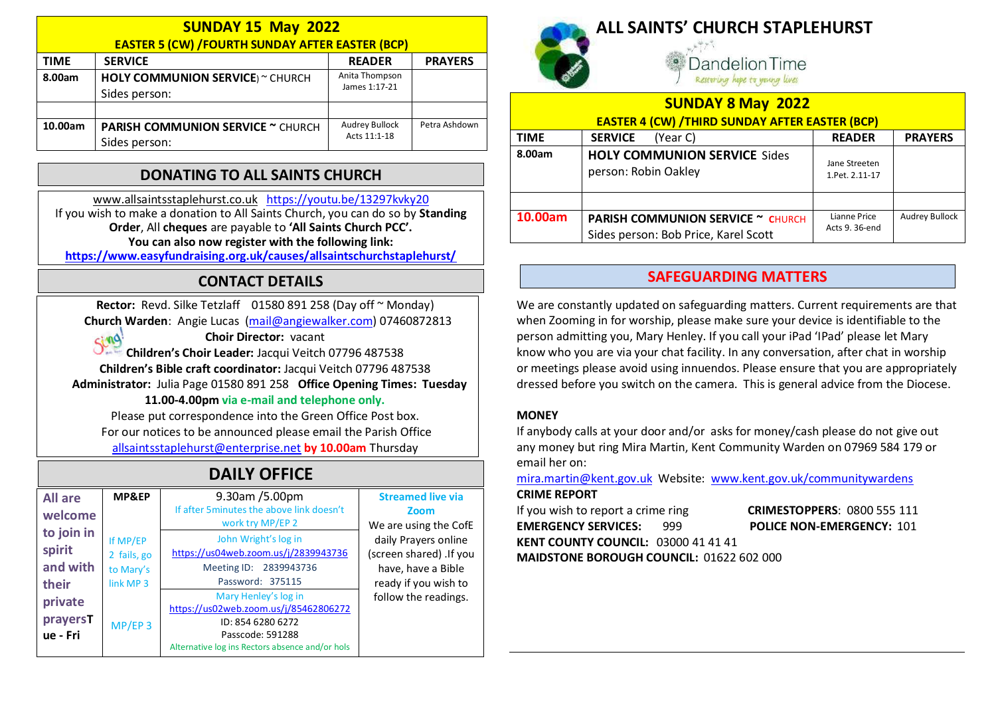| <b>SUNDAY 15 May 2022</b>                              |                                                           |                                       |                |  |  |  |  |
|--------------------------------------------------------|-----------------------------------------------------------|---------------------------------------|----------------|--|--|--|--|
| <b>EASTER 5 (CW) /FOURTH SUNDAY AFTER EASTER (BCP)</b> |                                                           |                                       |                |  |  |  |  |
| <b>TIME</b>                                            | <b>SERVICE</b>                                            | <b>READER</b>                         | <b>PRAYERS</b> |  |  |  |  |
| 8.00am                                                 | <b>HOLY COMMUNION SERVICE</b> ) ~ CHURCH<br>Sides person: | Anita Thompson<br>James 1:17-21       |                |  |  |  |  |
|                                                        |                                                           |                                       |                |  |  |  |  |
| 10.00am                                                | <b>PARISH COMMUNION SERVICE ~ CHURCH</b><br>Sides person: | <b>Audrey Bullock</b><br>Acts 11:1-18 | Petra Ashdown  |  |  |  |  |

### DONATING TO ALL SAINTS CHURCH

www.allsaintsstaplehurst.co.uk https://youtu.be/13297kvky20 If you wish to make a donation to All Saints Church, you can do so by Standing Order, All cheques are payable to 'All Saints Church PCC'. You can also now register with the following link:

https://www.easyfundraising.org.uk/causes/allsaintschurchstaplehurst/

## CONTACT DETAILS

Rector: Revd. Silke Tetzlaff 01580 891 258 (Day off ~ Monday) Church Warden: Angie Lucas (mail@angiewalker.com) 07460872813  $C_1 \cap Q$ 

Choir Director: vacant

Children's Choir Leader: Jacqui Veitch 07796 487538 Children's Bible craft coordinator: Jacqui Veitch 07796 487538 Administrator: Julia Page 01580 891 258 Office Opening Times: Tuesday 11.00-4.00pm via e-mail and telephone only.

Please put correspondence into the Green Office Post box. For our notices to be announced please email the Parish Office allsaintsstaplehurst@enterprise.net by 10.00am Thursday

# DAILY OFFICE

| <b>All are</b><br>welcome                 | MP&EP                                                        | 9.30am /5.00pm<br>If after 5 minutes the above link doesn't<br>work try MP/EP 2                                                                           | <b>Streamed live via</b><br>Zoom<br>We are using the CofE                                                             |
|-------------------------------------------|--------------------------------------------------------------|-----------------------------------------------------------------------------------------------------------------------------------------------------------|-----------------------------------------------------------------------------------------------------------------------|
| to join in<br>spirit<br>and with<br>their | If MP/EP<br>2 fails, go<br>to Mary's<br>link MP <sub>3</sub> | John Wright's log in<br>https://us04web.zoom.us/j/2839943736<br>Meeting ID: 2839943736<br>Password: 375115                                                | daily Prayers online<br>(screen shared) .If you<br>have, have a Bible<br>ready if you wish to<br>follow the readings. |
| private<br>prayersT<br>ue - Fri           | $MP/EP$ 3                                                    | Mary Henley's log in<br>https://us02web.zoom.us/j/85462806272<br>ID: 854 6280 6272<br>Passcode: 591288<br>Alternative log ins Rectors absence and/or hols |                                                                                                                       |



## ALL SAINTS' CHURCH STAPLEHURST

andelion Time Restoring hope to young lives

| <b>SUNDAY 8 May 2022</b><br><b>EASTER 4 (CW) /THIRD SUNDAY AFTER EASTER (BCP)</b> |                                                                                  |                                 |                |  |  |  |
|-----------------------------------------------------------------------------------|----------------------------------------------------------------------------------|---------------------------------|----------------|--|--|--|
| <b>TIME</b>                                                                       | <b>SERVICE</b><br>(Year C)                                                       | <b>READER</b>                   | <b>PRAYERS</b> |  |  |  |
| 8.00am                                                                            | <b>HOLY COMMUNION SERVICE Sides</b><br>person: Robin Oakley                      | Jane Streeten<br>1.Pet. 2.11-17 |                |  |  |  |
|                                                                                   |                                                                                  |                                 |                |  |  |  |
| 10.00am                                                                           | <b>PARISH COMMUNION SERVICE ~ CHURCH</b><br>Sides person: Bob Price, Karel Scott | Lianne Price<br>Acts 9, 36-end  | Audrey Bullock |  |  |  |

#### SAFEGUARDING MATTERS

We are constantly updated on safeguarding matters. Current requirements are that when Zooming in for worship, please make sure your device is identifiable to the person admitting you, Mary Henley. If you call your iPad 'IPad' please let Mary know who you are via your chat facility. In any conversation, after chat in worship or meetings please avoid using innuendos. Please ensure that you are appropriately dressed before you switch on the camera. This is general advice from the Diocese.

#### **MONEY**

If anybody calls at your door and/or asks for money/cash please do not give out any money but ring Mira Martin, Kent Community Warden on 07969 584 179 or email her on:

mira.martin@kent.gov.uk Website: www.kent.gov.uk/communitywardens

#### CRIME REPORT

If you wish to report a crime ring **CRIMESTOPPERS**: 0800 555 111 EMERGENCY SERVICES: 999 POLICE NON-EMERGENCY: 101 KENT COUNTY COUNCIL: 03000 41 41 41

MAIDSTONE BOROUGH COUNCIL: 01622 602 000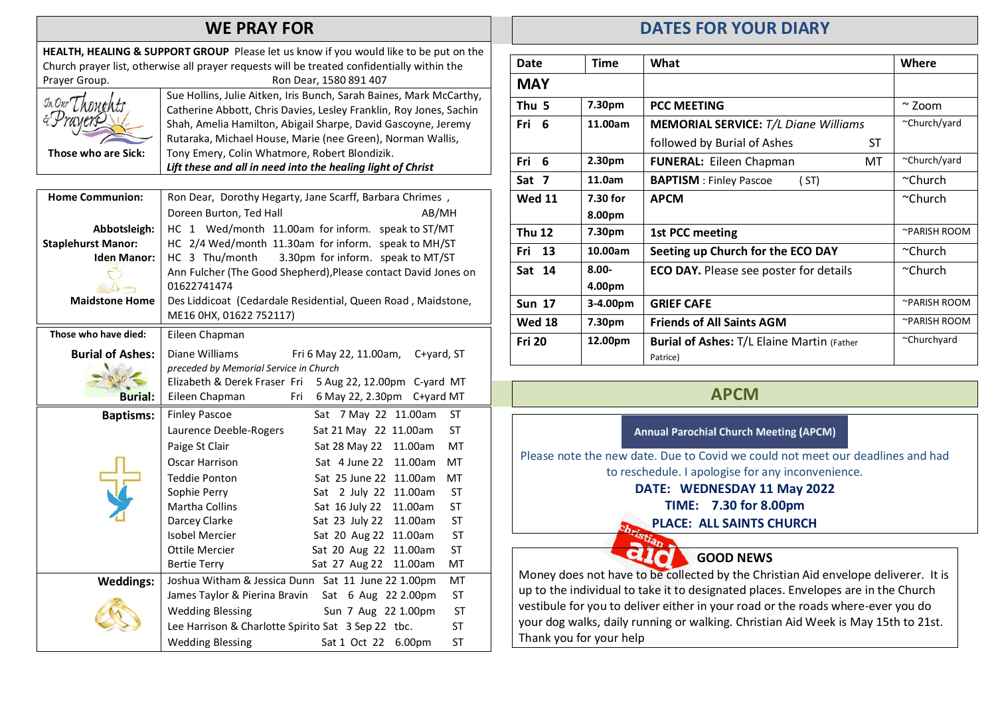#### WE PRAY FOR

HEALTH, HEALING & SUPPORT GROUP Please let us know if you would like to be put on the Church prayer list, otherwise all prayer requests will be treated confidentially within the Prayer Group. The Communication of the Ron Dear, 1580 891 407 Those who are Sick: Sue Hollins, Julie Aitken, Iris Bunch, Sarah Baines, Mark McCarthy, Catherine Abbott, Chris Davies, Lesley Franklin, Roy Jones, Sachin Shah, Amelia Hamilton, Abigail Sharpe, David Gascoyne, Jeremy Rutaraka, Michael House, Marie (nee Green), Norman Wallis, Tony Emery, Colin Whatmore, Robert Blondizik.

Lift these and all in need into the healing light of Christ

Home Communion: Ron Dear, Dorothy Hegarty, Jane Scarff, Barbara Chrimes, Doreen Burton, Ted Hall AB/MH Abbotsleigh: | HC 1 Wed/month 11.00am for inform. speak to ST/MT Staplehurst Manor: HC 2/4 Wed/month 11.30am for inform. speak to MH/ST Iden Manor: | HC 3 Thu/month 3.30pm for inform. speak to MT/ST  $\overline{C}$ Ann Fulcher (The Good Shepherd),Please contact David Jones on 01622741474 de la m Maidstone Home | Des Liddicoat (Cedardale Residential, Queen Road, Maidstone, ME16 0HX, 01622 752117) Those who have died: | Eileen Chapman Burial of Ashes: Diane Williams Fri 6 May 22, 11.00am, C+yard, ST preceded by Memorial Service in Church Elizabeth & Derek Fraser Fri 5 Aug 22, 12.00pm C-yard MT Burial: Eileen Chapman Fri 6 May 22, 2.30pm C+yard MT Baptisms: | Finley Pascoe Sat 7 May 22 11.00am ST Laurence Deeble-Rogers Sat 21 May 22 11.00am ST Paige St Clair Sat 28 May 22 11.00am MT Oscar Harrison Sat 4 June 22 11.00am MT Teddie Ponton Sat 25 June 22 11.00am MT Sophie Perry Sat 2 July 22 11.00am ST Martha Collins Sat 16 July 22 11.00am ST Darcey Clarke Sat 23 July 22 11.00am ST Isobel Mercier Sat 20 Aug 22 11.00am ST Ottile Mercier Sat 20 Aug 22 11.00am ST Bertie Terry Sat 27 Aug 22 11.00am MT Weddings: Joshua Witham & Jessica Dunn Sat 11 June 22 1.00pm MT James Taylor & Pierina Bravin Sat 6 Aug 22 2.00pm ST Wedding Blessing Sun 7 Aug 22 1.00pm ST Lee Harrison & Charlotte Spirito Sat 3 Sep 22 tbc. ST Wedding Blessing Sat 1 Oct 22 6.00pm ST

#### DATES FOR YOUR DIARY

| Date             | <b>Time</b>        | What                                              | Where         |
|------------------|--------------------|---------------------------------------------------|---------------|
| <b>MAY</b>       |                    |                                                   |               |
| Thu <sub>5</sub> | 7.30pm             | <b>PCC MEETING</b>                                | $\sim$ Zoom   |
| Fri 6            | 11.00am            | <b>MEMORIAL SERVICE:</b> T/L Diane Williams       | ~Church/yard  |
|                  |                    | followed by Burial of Ashes<br>ST                 |               |
| Fri<br>6         | 2.30 <sub>pm</sub> | <b>FUNERAL: Eileen Chapman</b><br>MT              | ~Church/yard  |
| Sat 7            | 11.0am             | <b>BAPTISM</b> : Finley Pascoe<br>( ST)           | $\sim$ Church |
| <b>Wed 11</b>    | 7.30 for           | <b>APCM</b>                                       | $\sim$ Church |
|                  | 8.00pm             |                                                   |               |
| <b>Thu 12</b>    | 7.30pm             | 1st PCC meeting                                   | ~PARISH ROOM  |
| Fri 13           | 10.00am            | Seeting up Church for the ECO DAY                 | $\sim$ Church |
| Sat 14           | $8.00 -$           | <b>ECO DAY.</b> Please see poster for details     | $\sim$ Church |
|                  | 4.00pm             |                                                   |               |
| <b>Sun 17</b>    | 3-4.00pm           | <b>GRIEF CAFE</b>                                 | ~PARISH ROOM  |
| <b>Wed 18</b>    | 7.30pm             | <b>Friends of All Saints AGM</b>                  | ~PARISH ROOM  |
| <b>Fri 20</b>    | 12.00pm            | <b>Burial of Ashes: T/L Elaine Martin (Father</b> | ~Churchyard   |
|                  |                    | Patrice)                                          |               |

## APCM

#### **Annual Parochial Church Meeting (APCM)**

Please note the new date. Due to Covid we could not meet our deadlines and had to reschedule. I apologise for any inconvenience.

#### DATE: WEDNESDAY 11 May 2022

TIME: 7.30 for 8.00pm

PLACE: ALL SAINTS CHURCH

GOOD NEWS

Q I

Money does not have to be collected by the Christian Aid envelope deliverer. It is up to the individual to take it to designated places. Envelopes are in the Church vestibule for you to deliver either in your road or the roads where-ever you do your dog walks, daily running or walking. Christian Aid Week is May 15th to 21st. Thank you for your help